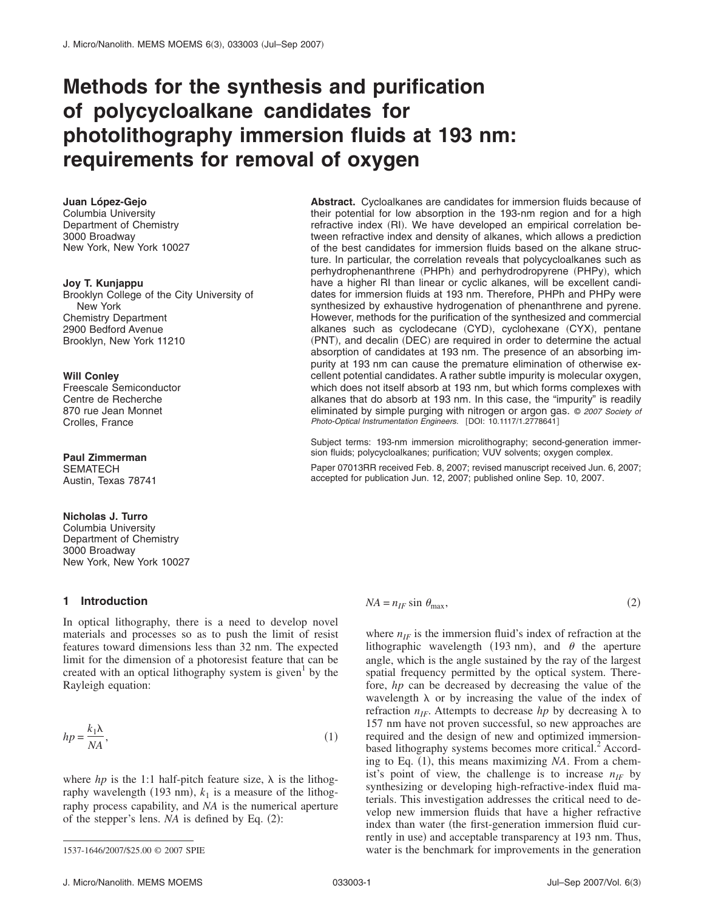# **Methods for the synthesis and purification of polycycloalkane candidates for photolithography immersion fluids at 193 nm: requirements for removal of oxygen**

#### **Juan López-Gejo**

Columbia University Department of Chemistry 3000 Broadway New York, New York 10027

#### **Joy T. Kunjappu**

Brooklyn College of the City University of New York Chemistry Department 2900 Bedford Avenue Brooklyn, New York 11210

#### **Will Conley**

Freescale Semiconductor Centre de Recherche 870 rue Jean Monnet Crolles, France

#### **Paul Zimmerman** SEMATECH Austin, Texas 78741

#### **Nicholas J. Turro**

Columbia University Department of Chemistry 3000 Broadway New York, New York 10027

## **1 Introduction**

In optical lithography, there is a need to develop novel materials and processes so as to push the limit of resist features toward dimensions less than 32 nm. The expected limit for the dimension of a photoresist feature that can be created with an optical lithography system is given by the Rayleigh equation:

$$
hp = \frac{k_1 \lambda}{NA},\tag{1}
$$

where *hp* is the 1:1 half-pitch feature size,  $\lambda$  is the lithography wavelength (193 nm),  $k_1$  is a measure of the lithography process capability, and *NA* is the numerical aperture of the stepper's lens.  $NA$  is defined by Eq.  $(2)$ :

**Abstract.** Cycloalkanes are candidates for immersion fluids because of their potential for low absorption in the 193-nm region and for a high refractive index (RI). We have developed an empirical correlation between refractive index and density of alkanes, which allows a prediction of the best candidates for immersion fluids based on the alkane structure. In particular, the correlation reveals that polycycloalkanes such as perhydrophenanthrene (PHPh) and perhydrodropyrene (PHPy), which have a higher RI than linear or cyclic alkanes, will be excellent candidates for immersion fluids at 193 nm. Therefore, PHPh and PHPy were synthesized by exhaustive hydrogenation of phenanthrene and pyrene. However, methods for the purification of the synthesized and commercial alkanes such as cyclodecane (CYD), cyclohexane (CYX), pentane (PNT), and decalin (DEC) are required in order to determine the actual absorption of candidates at 193 nm. The presence of an absorbing impurity at 193 nm can cause the premature elimination of otherwise excellent potential candidates. A rather subtle impurity is molecular oxygen, which does not itself absorb at 193 nm, but which forms complexes with alkanes that do absorb at 193 nm. In this case, the "impurity" is readily eliminated by simple purging with nitrogen or argon gas. © *2007 Society of* Photo-Optical Instrumentation Engineers. [DOI: 10.1117/1.2778641]

Subject terms: 193-nm immersion microlithography; second-generation immersion fluids; polycycloalkanes; purification; VUV solvents; oxygen complex.

Paper 07013RR received Feb. 8, 2007; revised manuscript received Jun. 6, 2007; accepted for publication Jun. 12, 2007; published online Sep. 10, 2007.

$$
NA = n_{IF} \sin \theta_{\text{max}},\tag{2}
$$

where  $n_{IF}$  is the immersion fluid's index of refraction at the lithographic wavelength (193 nm), and  $\theta$  the aperture angle, which is the angle sustained by the ray of the largest spatial frequency permitted by the optical system. Therefore, *hp* can be decreased by decreasing the value of the wavelength  $\lambda$  or by increasing the value of the index of refraction  $n_{IF}$ . Attempts to decrease *hp* by decreasing  $\lambda$  to 157 nm have not proven successful, so new approaches are required and the design of new and optimized immersionbased lithography systems becomes more critical.<sup>2</sup> According to Eq. (1), this means maximizing *NA*. From a chemist's point of view, the challenge is to increase  $n_{IF}$  by synthesizing or developing high-refractive-index fluid materials. This investigation addresses the critical need to develop new immersion fluids that have a higher refractive index than water (the first-generation immersion fluid currently in use) and acceptable transparency at 193 nm. Thus, 1537-1646/2007/\$25.00 © 2007 SPIE water is the benchmark for improvements in the generation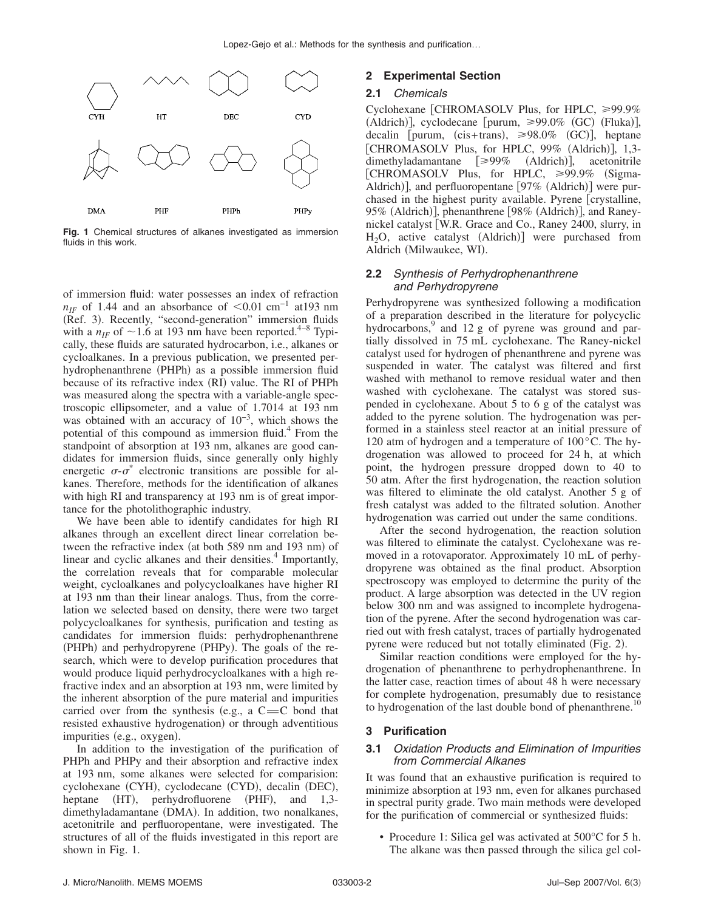

**Fig. 1** Chemical structures of alkanes investigated as immersion fluids in this work.

of immersion fluid: water possesses an index of refraction  $n_{IF}$  of 1.44 and an absorbance of  $\leq 0.01$  cm<sup>-1</sup> at193 nm (Ref. 3). Recently, "second-generation" immersion fluids with a  $n_{IF}$  of  $\sim$  1.6 at 193 nm have been reported.<sup>4–8</sup> Typically, these fluids are saturated hydrocarbon, i.e., alkanes or cycloalkanes. In a previous publication, we presented perhydrophenanthrene (PHPh) as a possible immersion fluid because of its refractive index (RI) value. The RI of PHPh was measured along the spectra with a variable-angle spectroscopic ellipsometer, and a value of 1.7014 at 193 nm was obtained with an accuracy of  $10^{-3}$ , which shows the potential of this compound as immersion fluid.<sup>4</sup> From the standpoint of absorption at 193 nm, alkanes are good candidates for immersion fluids, since generally only highly energetic  $\sigma$ - $\sigma^*$  electronic transitions are possible for alkanes. Therefore, methods for the identification of alkanes with high RI and transparency at 193 nm is of great importance for the photolithographic industry.

We have been able to identify candidates for high RI alkanes through an excellent direct linear correlation between the refractive index (at both 589 nm and 193 nm) of linear and cyclic alkanes and their densities.<sup>4</sup> Importantly, the correlation reveals that for comparable molecular weight, cycloalkanes and polycycloalkanes have higher RI at 193 nm than their linear analogs. Thus, from the correlation we selected based on density, there were two target polycycloalkanes for synthesis, purification and testing as candidates for immersion fluids: perhydrophenanthrene (PHPh) and perhydropyrene (PHPy). The goals of the research, which were to develop purification procedures that would produce liquid perhydrocycloalkanes with a high refractive index and an absorption at 193 nm, were limited by the inherent absorption of the pure material and impurities carried over from the synthesis (e.g., a  $C=C$  bond that resisted exhaustive hydrogenation) or through adventitious impurities (e.g., oxygen).

In addition to the investigation of the purification of PHPh and PHPy and their absorption and refractive index at 193 nm, some alkanes were selected for comparision: cyclohexane (CYH), cyclodecane (CYD), decalin (DEC), heptane (HT), perhydrofluorene (PHF), and 1,3dimethyladamantane (DMA). In addition, two nonalkanes, acetonitrile and perfluoropentane, were investigated. The structures of all of the fluids investigated in this report are shown in Fig. 1.

## **2 Experimental Section**

#### **2.1** *Chemicals*

Cyclohexane [CHROMASOLV Plus, for HPLC,  $\geq 99.9\%$ (Aldrich)], cyclodecane [purum, ≥99.0% (GC) (Fluka)], decalin [purum, (cis+trans),  $\geq 98.0\%$  (GC)], heptane [CHROMASOLV Plus, for HPLC, 99% (Aldrich)], 1,3dimethyladamantane [≥99% (Aldrich)], acetonitrile [CHROMASOLV Plus, for HPLC, ≥99.9% (Sigma-Aldrich)], and perfluoropentane [97% (Aldrich)] were purchased in the highest purity available. Pyrene [crystalline, 95% (Aldrich)], phenanthrene [98% (Aldrich)], and Raneynickel catalyst W.R. Grace and Co., Raney 2400, slurry, in  $H_2O$ , active catalyst (Aldrich)] were purchased from Aldrich (Milwaukee, WI).

#### **2.2** *Synthesis of Perhydrophenanthrene and Perhydropyrene*

Perhydropyrene was synthesized following a modification of a preparation described in the literature for polycyclic hydrocarbons,<sup>9</sup> and 12 g of pyrene was ground and partially dissolved in 75 mL cyclohexane. The Raney-nickel catalyst used for hydrogen of phenanthrene and pyrene was suspended in water. The catalyst was filtered and first washed with methanol to remove residual water and then washed with cyclohexane. The catalyst was stored suspended in cyclohexane. About 5 to 6 g of the catalyst was added to the pyrene solution. The hydrogenation was performed in a stainless steel reactor at an initial pressure of 120 atm of hydrogen and a temperature of 100°C. The hydrogenation was allowed to proceed for 24 h, at which point, the hydrogen pressure dropped down to 40 to 50 atm. After the first hydrogenation, the reaction solution was filtered to eliminate the old catalyst. Another 5 g of fresh catalyst was added to the filtrated solution. Another hydrogenation was carried out under the same conditions.

After the second hydrogenation, the reaction solution was filtered to eliminate the catalyst. Cyclohexane was removed in a rotovaporator. Approximately 10 mL of perhydropyrene was obtained as the final product. Absorption spectroscopy was employed to determine the purity of the product. A large absorption was detected in the UV region below 300 nm and was assigned to incomplete hydrogenation of the pyrene. After the second hydrogenation was carried out with fresh catalyst, traces of partially hydrogenated pyrene were reduced but not totally eliminated (Fig. 2).

Similar reaction conditions were employed for the hydrogenation of phenanthrene to perhydrophenanthrene. In the latter case, reaction times of about 48 h were necessary for complete hydrogenation, presumably due to resistance to hydrogenation of the last double bond of phenanthrene.<sup>1</sup>

## **3 Purification**

## **3.1** *Oxidation Products and Elimination of Impurities from Commercial Alkanes*

It was found that an exhaustive purification is required to minimize absorption at 193 nm, even for alkanes purchased in spectral purity grade. Two main methods were developed for the purification of commercial or synthesized fluids:

• Procedure 1: Silica gel was activated at 500°C for 5 h. The alkane was then passed through the silica gel col-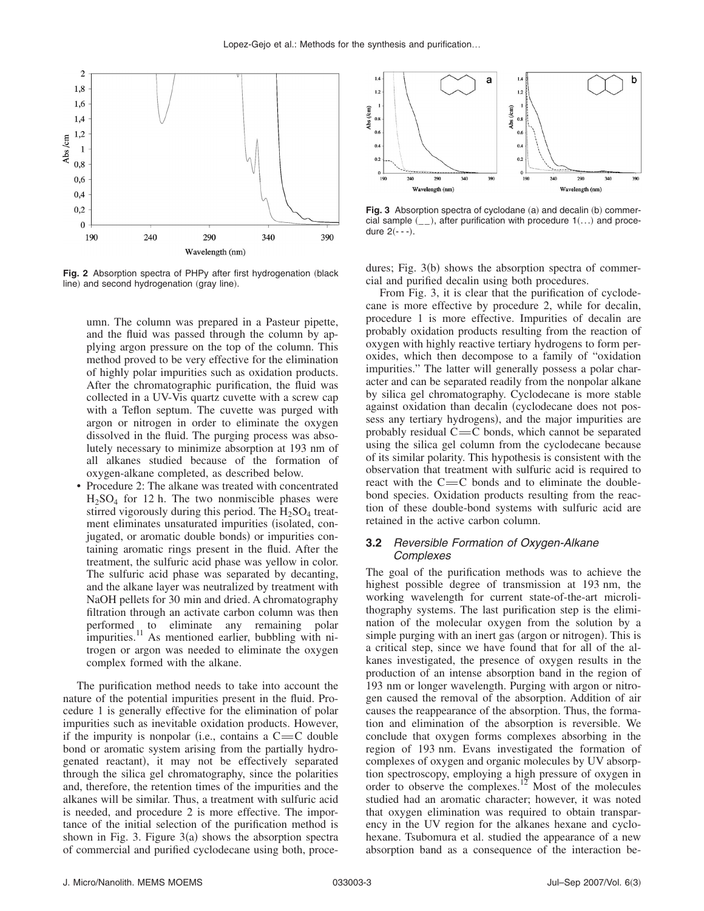

Fig. 2 Absorption spectra of PHPy after first hydrogenation (black line) and second hydrogenation (gray line).

umn. The column was prepared in a Pasteur pipette, and the fluid was passed through the column by applying argon pressure on the top of the column. This method proved to be very effective for the elimination of highly polar impurities such as oxidation products. After the chromatographic purification, the fluid was collected in a UV-Vis quartz cuvette with a screw cap with a Teflon septum. The cuvette was purged with argon or nitrogen in order to eliminate the oxygen dissolved in the fluid. The purging process was absolutely necessary to minimize absorption at 193 nm of all alkanes studied because of the formation of oxygen-alkane completed, as described below.

• Procedure 2: The alkane was treated with concentrated  $H<sub>2</sub>SO<sub>4</sub>$  for 12 h. The two nonmiscible phases were stirred vigorously during this period. The  $H_2SO_4$  treatment eliminates unsaturated impurities (isolated, conjugated, or aromatic double bonds) or impurities containing aromatic rings present in the fluid. After the treatment, the sulfuric acid phase was yellow in color. The sulfuric acid phase was separated by decanting, and the alkane layer was neutralized by treatment with NaOH pellets for 30 min and dried. A chromatography filtration through an activate carbon column was then performed to eliminate any remaining polar impurities.<sup>11</sup> As mentioned earlier, bubbling with nitrogen or argon was needed to eliminate the oxygen complex formed with the alkane.

The purification method needs to take into account the nature of the potential impurities present in the fluid. Procedure 1 is generally effective for the elimination of polar impurities such as inevitable oxidation products. However, if the impurity is nonpolar (i.e., contains a  $C=C$  double bond or aromatic system arising from the partially hydrogenated reactant), it may not be effectively separated through the silica gel chromatography, since the polarities and, therefore, the retention times of the impurities and the alkanes will be similar. Thus, a treatment with sulfuric acid is needed, and procedure 2 is more effective. The importance of the initial selection of the purification method is shown in Fig. 3. Figure  $3(a)$  shows the absorption spectra of commercial and purified cyclodecane using both, proce-



Fig. 3 Absorption spectra of cyclodane (a) and decalin (b) commercial sample  $(\_$ ), after purification with procedure  $1(...)$  and procedure  $2(- - -)$ .

dures; Fig. 3(b) shows the absorption spectra of commercial and purified decalin using both procedures.

From Fig. 3, it is clear that the purification of cyclodecane is more effective by procedure 2, while for decalin, procedure 1 is more effective. Impurities of decalin are probably oxidation products resulting from the reaction of oxygen with highly reactive tertiary hydrogens to form peroxides, which then decompose to a family of "oxidation impurities." The latter will generally possess a polar character and can be separated readily from the nonpolar alkane by silica gel chromatography. Cyclodecane is more stable against oxidation than decalin (cyclodecane does not possess any tertiary hydrogens), and the major impurities are probably residual  $C = C$  bonds, which cannot be separated using the silica gel column from the cyclodecane because of its similar polarity. This hypothesis is consistent with the observation that treatment with sulfuric acid is required to react with the  $C = C$  bonds and to eliminate the doublebond species. Oxidation products resulting from the reaction of these double-bond systems with sulfuric acid are retained in the active carbon column.

#### **3.2** *Reversible Formation of Oxygen-Alkane Complexes*

The goal of the purification methods was to achieve the highest possible degree of transmission at 193 nm, the working wavelength for current state-of-the-art microlithography systems. The last purification step is the elimination of the molecular oxygen from the solution by a simple purging with an inert gas (argon or nitrogen). This is a critical step, since we have found that for all of the alkanes investigated, the presence of oxygen results in the production of an intense absorption band in the region of 193 nm or longer wavelength. Purging with argon or nitrogen caused the removal of the absorption. Addition of air causes the reappearance of the absorption. Thus, the formation and elimination of the absorption is reversible. We conclude that oxygen forms complexes absorbing in the region of 193 nm. Evans investigated the formation of complexes of oxygen and organic molecules by UV absorption spectroscopy, employing a high pressure of oxygen in order to observe the complexes.<sup>12</sup> Most of the molecules studied had an aromatic character; however, it was noted that oxygen elimination was required to obtain transparency in the UV region for the alkanes hexane and cyclohexane. Tsubomura et al. studied the appearance of a new absorption band as a consequence of the interaction be-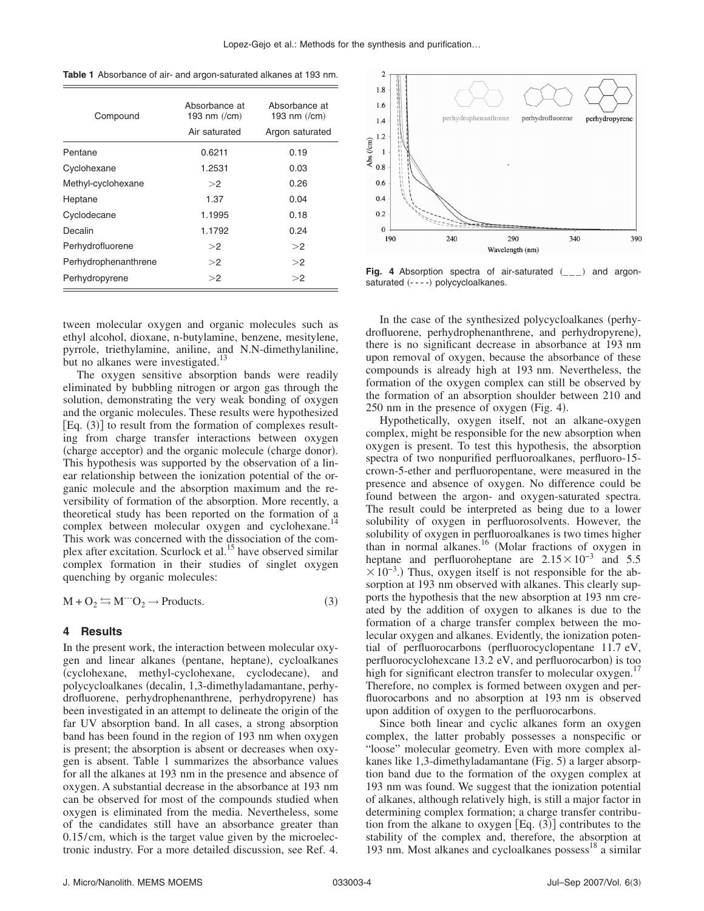| Compound             | Absorbance at<br>193 nm $(\text{/cm})$<br>Air saturated | Absorbance at<br>193 nm $(\text{/cm})$<br>Argon saturated |
|----------------------|---------------------------------------------------------|-----------------------------------------------------------|
| Pentane              | 0.6211                                                  | 0.19                                                      |
| Cyclohexane          | 1.2531                                                  | 0.03                                                      |
| Methyl-cyclohexane   | >2                                                      | 0.26                                                      |
| Heptane              | 1.37                                                    | 0.04                                                      |
| Cyclodecane          | 1.1995                                                  | 0.18                                                      |
| Decalin              | 1.1792                                                  | 0.24                                                      |
| Perhydrofluorene     | >2                                                      | >2                                                        |
| Perhydrophenanthrene | >2                                                      | >2                                                        |
| Perhydropyrene       | >2                                                      | >2                                                        |

tween molecular oxygen and organic molecules such as ethyl alcohol, dioxane, n-butylamine, benzene, mesitylene, pyrrole, triethylamine, aniline, and N.N-dimethylaniline, but no alkanes were investigated.<sup>13</sup>

The oxygen sensitive absorption bands were readily eliminated by bubbling nitrogen or argon gas through the solution, demonstrating the very weak bonding of oxygen and the organic molecules. These results were hypothesized [Eq. (3)] to result from the formation of complexes resulting from charge transfer interactions between oxygen (charge acceptor) and the organic molecule (charge donor). This hypothesis was supported by the observation of a linear relationship between the ionization potential of the organic molecule and the absorption maximum and the reversibility of formation of the absorption. More recently, a theoretical study has been reported on the formation of a complex between molecular oxygen and cyclohexane.<sup>14</sup> This work was concerned with the dissociation of the complex after excitation. Scurlock et al.<sup>15</sup> have observed similar complex formation in their studies of singlet oxygen quenching by organic molecules:

$$
M + O_2 \leftrightarrows M^{-}O_2 \rightarrow Products. \tag{3}
$$

#### **4 Results**

In the present work, the interaction between molecular oxygen and linear alkanes (pentane, heptane), cycloalkanes (cyclohexane, methyl-cyclohexane, cyclodecane), and polycycloalkanes decalin, 1,3-dimethyladamantane, perhydrofluorene, perhydrophenanthrene, perhydropyrene) has been investigated in an attempt to delineate the origin of the far UV absorption band. In all cases, a strong absorption band has been found in the region of 193 nm when oxygen is present; the absorption is absent or decreases when oxygen is absent. Table 1 summarizes the absorbance values for all the alkanes at 193 nm in the presence and absence of oxygen. A substantial decrease in the absorbance at 193 nm can be observed for most of the compounds studied when oxygen is eliminated from the media. Nevertheless, some of the candidates still have an absorbance greater than 0.15/cm, which is the target value given by the microelectronic industry. For a more detailed discussion, see Ref. 4.



Perhydropyrene <sup>2</sup> <sup>2</sup> **Fig. 4** Absorption spectra of air-saturated \_\_\_- and argonsaturated (----) polycycloalkanes.

In the case of the synthesized polycycloalkanes (perhydrofluorene, perhydrophenanthrene, and perhydropyrene), there is no significant decrease in absorbance at 193 nm upon removal of oxygen, because the absorbance of these compounds is already high at 193 nm. Nevertheless, the formation of the oxygen complex can still be observed by the formation of an absorption shoulder between 210 and 250 nm in the presence of oxygen (Fig. 4).

Hypothetically, oxygen itself, not an alkane-oxygen complex, might be responsible for the new absorption when oxygen is present. To test this hypothesis, the absorption spectra of two nonpurified perfluoroalkanes, perfluoro-15 crown-5-ether and perfluoropentane, were measured in the presence and absence of oxygen. No difference could be found between the argon- and oxygen-saturated spectra. The result could be interpreted as being due to a lower solubility of oxygen in perfluorosolvents. However, the solubility of oxygen in perfluoroalkanes is two times higher than in normal alkanes.<sup>16</sup> (Molar fractions of oxygen in heptane and perfluoroheptane are  $2.15\times10^{-3}$  and 5.5  $\times 10^{-3}$ .) Thus, oxygen itself is not responsible for the absorption at 193 nm observed with alkanes. This clearly supports the hypothesis that the new absorption at 193 nm created by the addition of oxygen to alkanes is due to the formation of a charge transfer complex between the molecular oxygen and alkanes. Evidently, the ionization potential of perfluorocarbons (perfluorocyclopentane  $11.7 \text{ eV}$ , perfluorocyclohexcane 13.2 eV, and perfluorocarbon) is too high for significant electron transfer to molecular oxygen.<sup>1</sup> Therefore, no complex is formed between oxygen and perfluorocarbons and no absorption at 193 nm is observed upon addition of oxygen to the perfluorocarbons.

Since both linear and cyclic alkanes form an oxygen complex, the latter probably possesses a nonspecific or "loose" molecular geometry. Even with more complex alkanes like 1,3-dimethyladamantane (Fig. 5) a larger absorption band due to the formation of the oxygen complex at 193 nm was found. We suggest that the ionization potential of alkanes, although relatively high, is still a major factor in determining complex formation; a charge transfer contribution from the alkane to oxygen  $[Eq. (3)]$  contributes to the stability of the complex and, therefore, the absorption at 193 nm. Most alkanes and cycloalkanes possess $^{18}$  a similar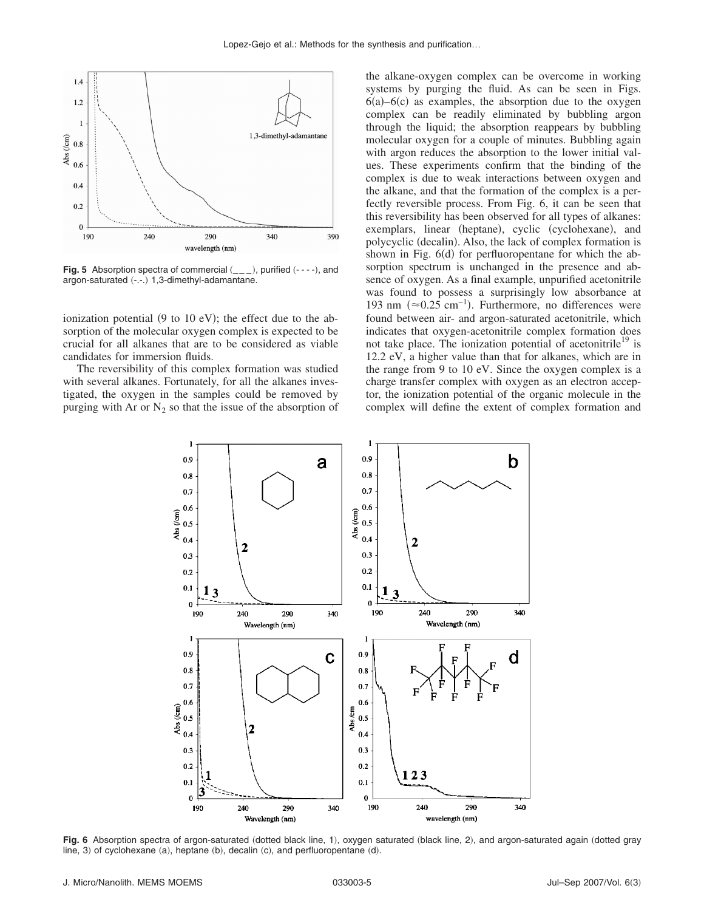

**Fig. 5** Absorption spectra of commercial  $($ <sub>--</sub> $)$ , purified  $($ --- $)$ , and argon-saturated (-.-.) 1,3-dimethyl-adamantane.

ionization potential  $(9 \text{ to } 10 \text{ eV})$ ; the effect due to the absorption of the molecular oxygen complex is expected to be crucial for all alkanes that are to be considered as viable candidates for immersion fluids.

The reversibility of this complex formation was studied with several alkanes. Fortunately, for all the alkanes investigated, the oxygen in the samples could be removed by purging with Ar or  $N_2$  so that the issue of the absorption of the alkane-oxygen complex can be overcome in working systems by purging the fluid. As can be seen in Figs.  $6(a) - 6(c)$  as examples, the absorption due to the oxygen complex can be readily eliminated by bubbling argon through the liquid; the absorption reappears by bubbling molecular oxygen for a couple of minutes. Bubbling again with argon reduces the absorption to the lower initial values. These experiments confirm that the binding of the complex is due to weak interactions between oxygen and the alkane, and that the formation of the complex is a perfectly reversible process. From Fig. 6, it can be seen that this reversibility has been observed for all types of alkanes: exemplars, linear (heptane), cyclic (cyclohexane), and polycyclic (decalin). Also, the lack of complex formation is shown in Fig. 6(d) for perfluoropentane for which the absorption spectrum is unchanged in the presence and absence of oxygen. As a final example, unpurified acetonitrile was found to possess a surprisingly low absorbance at 193 nm ( $\approx$ 0.25 cm<sup>-1</sup>). Furthermore, no differences were found between air- and argon-saturated acetonitrile, which indicates that oxygen-acetonitrile complex formation does not take place. The ionization potential of acetonitrile<sup>19</sup> is 12.2 eV, a higher value than that for alkanes, which are in the range from 9 to 10 eV. Since the oxygen complex is a charge transfer complex with oxygen as an electron acceptor, the ionization potential of the organic molecule in the complex will define the extent of complex formation and



Fig. 6 Absorption spectra of argon-saturated (dotted black line, 1), oxygen saturated (black line, 2), and argon-saturated again (dotted gray  $\lim_{\epsilon \to 0}$  of cyclohexane (a), heptane (b), decalin (c), and perfluoropentane (d).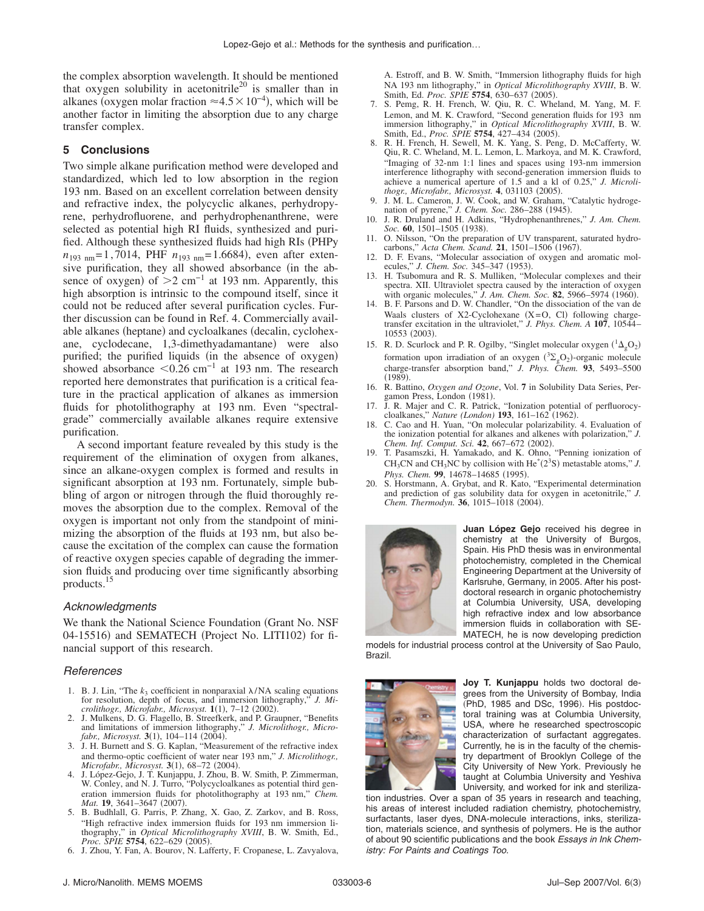the complex absorption wavelength. It should be mentioned that oxygen solubility in acetonitrile<sup>20</sup> is smaller than in alkanes (oxygen molar fraction  $\approx 4.5 \times 10^{-4}$ ), which will be another factor in limiting the absorption due to any charge transfer complex.

## **5 Conclusions**

Two simple alkane purification method were developed and standardized, which led to low absorption in the region 193 nm. Based on an excellent correlation between density and refractive index, the polycyclic alkanes, perhydropyrene, perhydrofluorene, and perhydrophenanthrene, were selected as potential high RI fluids, synthesized and purified. Although these synthesized fluids had high RIs (PHPy  $n_{193 \text{ nm}} = 1,7014$ , PHF  $n_{193 \text{ nm}} = 1.6684$ , even after extensive purification, they all showed absorbance (in the absence of oxygen) of  $>2$  cm<sup>-1</sup> at 193 nm. Apparently, this high absorption is intrinsic to the compound itself, since it could not be reduced after several purification cycles. Further discussion can be found in Ref. 4. Commercially available alkanes (heptane) and cycloalkanes (decalin, cyclohexane, cyclodecane, 1,3-dimethyadamantane) were also purified; the purified liquids (in the absence of oxygen) showed absorbance  $\leq 0.26$  cm<sup>-1</sup> at 193 nm. The research reported here demonstrates that purification is a critical feature in the practical application of alkanes as immersion fluids for photolithography at 193 nm. Even "spectralgrade" commercially available alkanes require extensive purification.

A second important feature revealed by this study is the requirement of the elimination of oxygen from alkanes, since an alkane-oxygen complex is formed and results in significant absorption at 193 nm. Fortunately, simple bubbling of argon or nitrogen through the fluid thoroughly removes the absorption due to the complex. Removal of the oxygen is important not only from the standpoint of minimizing the absorption of the fluids at 193 nm, but also because the excitation of the complex can cause the formation of reactive oxygen species capable of degrading the immersion fluids and producing over time significantly absorbing products.15

## *Acknowledgments*

We thank the National Science Foundation Grant No. NSF 04-15516) and SEMATECH (Project No. LITI102) for financial support of this research.

#### *References*

- 1. B. J. Lin, "The  $k_3$  coefficient in nonparaxial  $\lambda$ /NA scaling equations for resolution, depth of focus, and immersion lithography," *J. Mi*crolithogr., Microfabr., Microsyst. 1(1), 7-12 (2002).
- 2. J. Mulkens, D. G. Flagello, B. Streefkerk, and P. Graupner, "Benefits and limitations of immersion lithography," *J. Microlithogr., Micro-*
- *fabr., Microsyst.* **3**(1), 104–114 (2004).<br>3. J. H. Burnett and S. G. Kaplan, "Measurement of the refractive index and thermo-optic coefficient of water near 193 nm," *J. Microlithogr., Microfabr., Microsyst.* **3**(1), 68–72 (2004)
- Microfabr., Microsyst. 3(1), 68–72 (2004).<br>4. J. López-Gejo, J. T. Kunjappu, J. Zhou, B. W. Smith, P. Zimmerman,<br>W. Conley, and N. J. Turro, "Polycycloalkanes as potential third generation immersion fluids for photolithography at 193 nm," *Chem. Mat.* **19**, 3641-3647 (2007)
- . 5. B. Budhlall, G. Parris, P. Zhang, X. Gao, Z. Zarkov, and B. Ross, "High refractive index immersion fluids for 193 nm immersion lithography," in *Optical Microlithography XVIII*, B. W. Smith, Ed., *Proc. SPIE* **5754**, 622–629 2005-.
- 6. J. Zhou, Y. Fan, A. Bourov, N. Lafferty, F. Cropanese, L. Zavyalova,

A. Estroff, and B. W. Smith, "Immersion lithography fluids for high NA 193 nm lithography," in *Optical Microlithography XVIII*, B. W. Smith, Ed. *Proc.* SPIE 5754, 630-637 (2005).

- 7. S. Pemg, R. H. French, W. Qiu, R. C. Wheland, M. Yang, M. F. Lemon, and M. K. Crawford, "Second generation fluids for 193 nm immersion lithography," in *Optical Microlithography XVIII*, B. W. Smith, Ed., *Proc. SPIE* 5754, 427-434 (2005).
- 8. R. H. French, H. Sewell, M. K. Yang, S. Peng, D. McCafferty, W. Qiu, R. C. Wheland, M. L. Lemon, L. Markoya, and M. K. Crawford, "Imaging of 32-nm 1:1 lines and spaces using 193-nm immersion interference lithography with second-generation immersion fluids to achieve a numerical aperture of 1.5 and a kl of 0.25," *J. Microli*thogr., Microfabr., Microsyst. 4, 031103 (2005).
- 9. J. M. L. Cameron, J. W. Cook, and W. Graham, "Catalytic hydroge-nation of pyrene," *J. Chem. Soc.* 286-288 (1945).
- 10. J. R. Druland and H. Adkins, "Hydrophenanthrenes," *J. Am. Chem.* Soc. 60, 1501-1505 (1938).
- 11. O. Nilsson, "On the preparation of UV transparent, saturated hydrocarbons," *Acta Chem. Scand.* **21**, 1501–1506 (1967).
- 12. D. F. Evans, "Molecular association of oxygen and aromatic molecules," *J. Chem. Soc.* 345-347 (1953).
- 13. H. Tsubomura and R. S. Mulliken, "Molecular complexes and their spectra. XII. Ultraviolet spectra caused by the interaction of oxygen with organic molecules," *J. Am. Chem. Soc.* **82**, 5966–5974 (1960).
- 14. B. F. Parsons and D. W. Chandler, "On the dissociation of the van de Waals clusters of X2-Cyclohexane  $(X=O, Cl)$  following chargetransfer excitation in the ultraviolet," *J. Phys. Chem. A* **107**, 10544– 10553 (2003).
- 15. R. D. Scurlock and P. R. Ogilby, "Singlet molecular oxygen  $({}^{1}\Delta_{g}O_{2})$ formation upon irradiation of an oxygen  $({}^{3}\Sigma_{g}O_{2})$ -organic molecule charge-transfer absorption band," *J. Phys. Chem.* **93**, 5493–5500  $(1989).$
- 16. R. Battino, *Oxygen and Ozone*, Vol. **7** in Solubility Data Series, Pergamon Press, London (1981).
- 17. J. R. Majer and C. R. Patrick, "Ionization potential of perfluorocycloalkanes," *Nature (London)* **193**, 161-162 (1962).
- 18. C. Cao and H. Yuan, "On molecular polarizability. 4. Evaluation of the ionization potential for alkanes and alkenes with polarization," *J.* Chem. Inf. Comput. Sci. 42, 667-672 (2002).
- 19. T. Pasamszki, H. Yamakado, and K. Ohno, "Penning ionization of CH<sub>3</sub>CN and CH<sub>3</sub>NC by collision with He<sup>\*</sup>( $2<sup>3</sup>S$ ) metastable atoms," *J*. Phys. Chem. 99, 14678-14685 (1995).
- 20. S. Horstmann, A. Grybat, and R. Kato, "Experimental determination and prediction of gas solubility data for oxygen in acetonitrile," *J.* Chem. Thermodyn. 36, 1015-1018 (2004).



**Juan López Gejo** received his degree in chemistry at the University of Burgos, Spain. His PhD thesis was in environmental photochemistry, completed in the Chemical Engineering Department at the University of Karlsruhe, Germany, in 2005. After his postdoctoral research in organic photochemistry at Columbia University, USA, developing high refractive index and low absorbance immersion fluids in collaboration with SE-MATECH, he is now developing prediction

models for industrial process control at the University of Sao Paulo, Brazil.



**Joy T. Kunjappu** holds two doctoral degrees from the University of Bombay, India (PhD, 1985 and DSc, 1996). His postdoctoral training was at Columbia University, USA, where he researched spectroscopic characterization of surfactant aggregates. Currently, he is in the faculty of the chemistry department of Brooklyn College of the City University of New York. Previously he taught at Columbia University and Yeshiva University, and worked for ink and steriliza-

tion industries. Over a span of 35 years in research and teaching, his areas of interest included radiation chemistry, photochemistry, surfactants, laser dyes, DNA-molecule interactions, inks, sterilization, materials science, and synthesis of polymers. He is the author of about 90 scientific publications and the book *Essays in Ink Chemistry: For Paints and Coatings Too*.